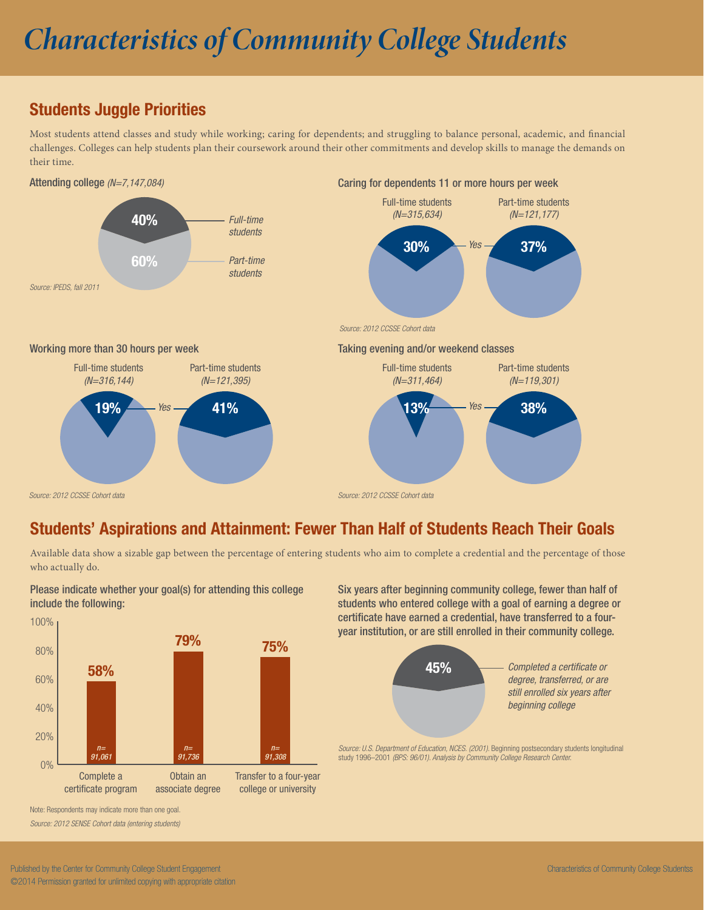# *Characteristics of Community College Students*

# Students Juggle Priorities

Most students attend classes and study while working; caring for dependents; and struggling to balance personal, academic, and financial challenges. Colleges can help students plan their coursework around their other commitments and develop skills to manage the demands on their time.



## Students' Aspirations and Attainment: Fewer Than Half of Students Reach Their Goals

Available data show a sizable gap between the percentage of entering students who aim to complete a credential and the percentage of those who actually do.



Please indicate whether your goal(s) for attending this college include the following:

Six years after beginning community college, fewer than half of students who entered college with a goal of earning a degree or certificate have earned a credential, have transferred to a fouryear institution, or are still enrolled in their community college.



Source: U.S. Department of Education, NCES. (2001). Beginning postsecondary students longitudinal study 1996–2001 *(BPS: 96/01). Analysis by Community College Research Center.*

Note: Respondents may indicate more than one goal. *Source: 2012 SENSE Cohort data (entering students)*